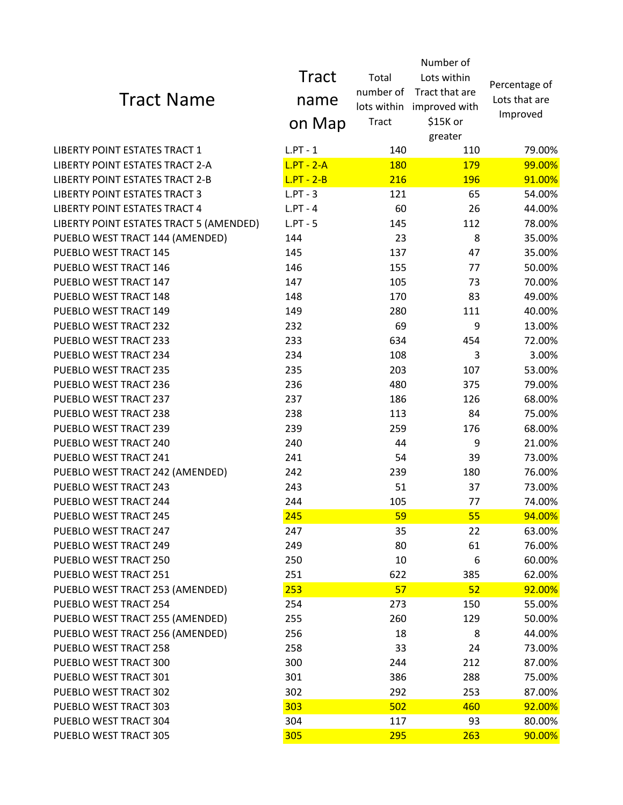|                                         | Number of    |              |                           |               |
|-----------------------------------------|--------------|--------------|---------------------------|---------------|
|                                         | <b>Tract</b> | Total        | Lots within               | Percentage of |
| <b>Tract Name</b>                       | name         | number of    | Tract that are            | Lots that are |
|                                         |              |              | lots within improved with | Improved      |
|                                         | on Map       | <b>Tract</b> | \$15K or                  |               |
|                                         |              |              | greater                   |               |
| LIBERTY POINT ESTATES TRACT 1           | $L.PT - 1$   | 140          | 110                       | 79.00%        |
| LIBERTY POINT ESTATES TRACT 2-A         | $L.PT - 2-A$ | <b>180</b>   | 179                       | 99.00%        |
| <b>LIBERTY POINT ESTATES TRACT 2-B</b>  | $L.PT - 2-B$ | 216          | <b>196</b>                | 91.00%        |
| <b>LIBERTY POINT ESTATES TRACT 3</b>    | $L.PT - 3$   | 121          | 65                        | 54.00%        |
| LIBERTY POINT ESTATES TRACT 4           | $L.PT - 4$   | 60           | 26                        | 44.00%        |
| LIBERTY POINT ESTATES TRACT 5 (AMENDED) | $L.PT - 5$   | 145          | 112                       | 78.00%        |
| PUEBLO WEST TRACT 144 (AMENDED)         | 144          | 23           | 8                         | 35.00%        |
| PUEBLO WEST TRACT 145                   | 145          | 137          | 47                        | 35.00%        |
| PUEBLO WEST TRACT 146                   | 146          | 155          | 77                        | 50.00%        |
| PUEBLO WEST TRACT 147                   | 147          | 105          | 73                        | 70.00%        |
| PUEBLO WEST TRACT 148                   | 148          | 170          | 83                        | 49.00%        |
| PUEBLO WEST TRACT 149                   | 149          | 280          | 111                       | 40.00%        |
| PUEBLO WEST TRACT 232                   | 232          | 69           | 9                         | 13.00%        |
| PUEBLO WEST TRACT 233                   | 233          | 634          | 454                       | 72.00%        |
| PUEBLO WEST TRACT 234                   | 234          | 108          | 3                         | 3.00%         |
| PUEBLO WEST TRACT 235                   | 235          | 203          | 107                       | 53.00%        |
| PUEBLO WEST TRACT 236                   | 236          | 480          | 375                       | 79.00%        |
| PUEBLO WEST TRACT 237                   | 237          | 186          | 126                       | 68.00%        |
| PUEBLO WEST TRACT 238                   | 238          | 113          | 84                        | 75.00%        |
| PUEBLO WEST TRACT 239                   | 239          | 259          | 176                       | 68.00%        |
| PUEBLO WEST TRACT 240                   | 240          | 44           | 9                         | 21.00%        |
| PUEBLO WEST TRACT 241                   | 241          | 54           | 39                        | 73.00%        |
| PUEBLO WEST TRACT 242 (AMENDED)         | 242          | 239          | 180                       | 76.00%        |
| PUEBLO WEST TRACT 243                   | 243          | 51           | 37                        | 73.00%        |
| PUEBLO WEST TRACT 244                   | 244          | 105          | 77                        | 74.00%        |
| PUEBLO WEST TRACT 245                   | 245          | 59           | 55                        | 94.00%        |
| PUEBLO WEST TRACT 247                   | 247          | 35           | 22                        | 63.00%        |
| PUEBLO WEST TRACT 249                   | 249          | 80           | 61                        | 76.00%        |
| PUEBLO WEST TRACT 250                   | 250          | 10           | 6                         | 60.00%        |
| PUEBLO WEST TRACT 251                   | 251          | 622          | 385                       | 62.00%        |
| PUEBLO WEST TRACT 253 (AMENDED)         | 253          | 57           | 52                        | 92.00%        |
| PUEBLO WEST TRACT 254                   | 254          | 273          | 150                       | 55.00%        |
| PUEBLO WEST TRACT 255 (AMENDED)         | 255          | 260          | 129                       | 50.00%        |
| PUEBLO WEST TRACT 256 (AMENDED)         | 256          | 18           | 8                         | 44.00%        |
| PUEBLO WEST TRACT 258                   | 258          | 33           | 24                        | 73.00%        |
| PUEBLO WEST TRACT 300                   | 300          | 244          | 212                       | 87.00%        |
| PUEBLO WEST TRACT 301                   | 301          | 386          | 288                       | 75.00%        |
| PUEBLO WEST TRACT 302                   | 302          | 292          | 253                       | 87.00%        |
| PUEBLO WEST TRACT 303                   | 303          | 502          | 460                       | 92.00%        |
| PUEBLO WEST TRACT 304                   | 304          | 117          | 93                        | 80.00%        |
| PUEBLO WEST TRACT 305                   | 305          | <b>295</b>   | 263                       | 90.00%        |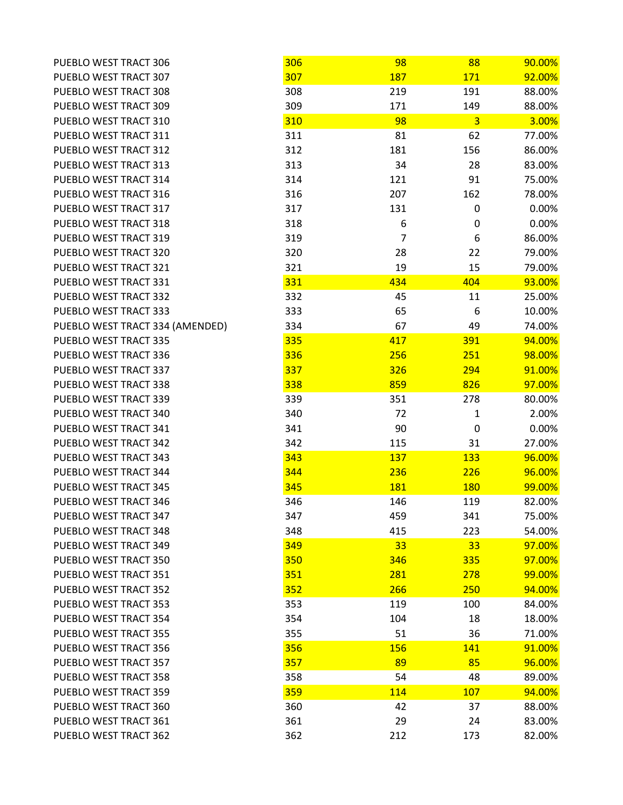| PUEBLO WEST TRACT 306           | 306 | 98             | 88             | 90.00% |
|---------------------------------|-----|----------------|----------------|--------|
| PUEBLO WEST TRACT 307           | 307 | <b>187</b>     | 171            | 92.00% |
| PUEBLO WEST TRACT 308           | 308 | 219            | 191            | 88.00% |
| PUEBLO WEST TRACT 309           | 309 | 171            | 149            | 88.00% |
| PUEBLO WEST TRACT 310           | 310 | 98             | $\overline{3}$ | 3.00%  |
| PUEBLO WEST TRACT 311           | 311 | 81             | 62             | 77.00% |
| PUEBLO WEST TRACT 312           | 312 | 181            | 156            | 86.00% |
| PUEBLO WEST TRACT 313           | 313 | 34             | 28             | 83.00% |
| PUEBLO WEST TRACT 314           | 314 | 121            | 91             | 75.00% |
| PUEBLO WEST TRACT 316           | 316 | 207            | 162            | 78.00% |
| PUEBLO WEST TRACT 317           | 317 | 131            | 0              | 0.00%  |
| PUEBLO WEST TRACT 318           | 318 | 6              | 0              | 0.00%  |
| PUEBLO WEST TRACT 319           | 319 | $\overline{7}$ | 6              | 86.00% |
| PUEBLO WEST TRACT 320           | 320 | 28             | 22             | 79.00% |
| PUEBLO WEST TRACT 321           | 321 | 19             | 15             | 79.00% |
| PUEBLO WEST TRACT 331           | 331 | 434            | 404            | 93.00% |
| PUEBLO WEST TRACT 332           | 332 | 45             | 11             | 25.00% |
| PUEBLO WEST TRACT 333           | 333 | 65             | 6              | 10.00% |
| PUEBLO WEST TRACT 334 (AMENDED) | 334 | 67             | 49             | 74.00% |
| PUEBLO WEST TRACT 335           | 335 | 417            | 391            | 94.00% |
| PUEBLO WEST TRACT 336           | 336 | 256            | 251            | 98.00% |
| PUEBLO WEST TRACT 337           | 337 | <b>326</b>     | 294            | 91.00% |
| PUEBLO WEST TRACT 338           | 338 | 859            | 826            | 97.00% |
| PUEBLO WEST TRACT 339           | 339 | 351            | 278            | 80.00% |
| PUEBLO WEST TRACT 340           | 340 | 72             | $\mathbf{1}$   | 2.00%  |
| PUEBLO WEST TRACT 341           | 341 | 90             | 0              | 0.00%  |
| PUEBLO WEST TRACT 342           | 342 | 115            | 31             | 27.00% |
| PUEBLO WEST TRACT 343           | 343 | <b>137</b>     | <b>133</b>     | 96.00% |
| PUEBLO WEST TRACT 344           | 344 | <b>236</b>     | 226            | 96.00% |
| PUEBLO WEST TRACT 345           | 345 | <b>181</b>     | <b>180</b>     | 99.00% |
| PUEBLO WEST TRACT 346           | 346 | 146            | 119            | 82.00% |
| PUEBLO WEST TRACT 347           | 347 | 459            | 341            | 75.00% |
| PUEBLO WEST TRACT 348           | 348 | 415            | 223            | 54.00% |
| PUEBLO WEST TRACT 349           | 349 | 33             | 33             | 97.00% |
| PUEBLO WEST TRACT 350           | 350 | 346            | 335            | 97.00% |
| PUEBLO WEST TRACT 351           | 351 | 281            | 278            | 99.00% |
| PUEBLO WEST TRACT 352           | 352 | 266            | 250            | 94.00% |
| PUEBLO WEST TRACT 353           | 353 | 119            | 100            | 84.00% |
| PUEBLO WEST TRACT 354           | 354 | 104            | 18             | 18.00% |
| PUEBLO WEST TRACT 355           | 355 | 51             | 36             | 71.00% |
| PUEBLO WEST TRACT 356           | 356 | <b>156</b>     | 141            | 91.00% |
| PUEBLO WEST TRACT 357           | 357 | 89             | 85             | 96.00% |
| PUEBLO WEST TRACT 358           | 358 | 54             | 48             | 89.00% |
| PUEBLO WEST TRACT 359           | 359 | 114            | <b>107</b>     | 94.00% |
| PUEBLO WEST TRACT 360           | 360 | 42             | 37             | 88.00% |
| PUEBLO WEST TRACT 361           | 361 | 29             | 24             | 83.00% |
| PUEBLO WEST TRACT 362           | 362 | 212            | 173            | 82.00% |